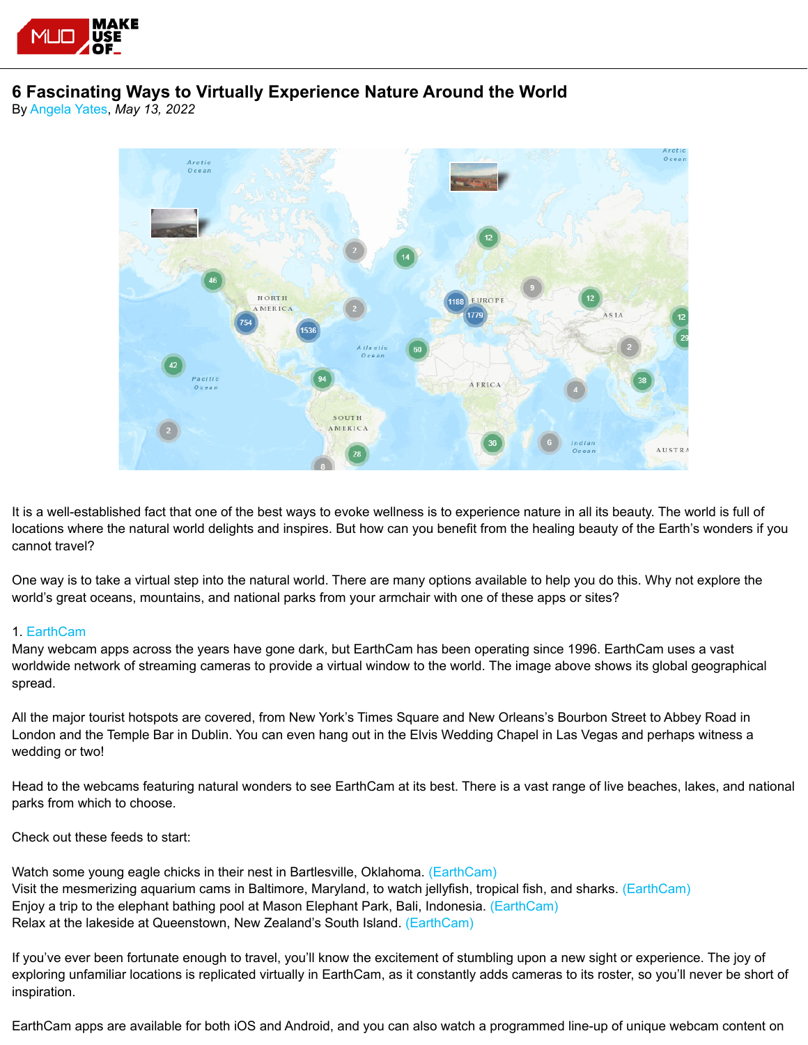

# **6 Fascinating Ways to Virtually Experience Nature Around the World**

By [Angela Yates](https://www.makeuseof.com/author/angela-yates/), *May 13, 2022*



It is a well-established fact that one of the best ways to evoke wellness is to experience nature in all its beauty. The world is full of locations where the natural world delights and inspires. But how can you benefit from the healing beauty of the Earth's wonders if you cannot travel?

One way is to take a virtual step into the natural world. There are many options available to help you do this. Why not explore the world's great oceans, mountains, and national parks from your armchair with one of these apps or sites?

# 1[. EarthCam](https://www.earthcam.com/)

Many webcam apps across the years have gone dark, but EarthCam has been operating since 1996. EarthCam uses a vast worldwide network of streaming cameras to provide a virtual window to the world. The image above shows its global geographical spread.

All the major tourist hotspots are covered, from New York's Times Square and New Orleans's Bourbon Street to Abbey Road in London and the Temple Bar in Dublin. You can even hang out in the Elvis Wedding Chapel in Las Vegas and perhaps witness a wedding or two!

Head to the webcams featuring natural wonders to see EarthCam at its best. There is a vast range of live beaches, lakes, and national parks from which to choose.

Check out these feeds to start:

Watch some young eagle chicks in their nest in Bartlesville, Oklahoma[. \(EarthCam\)](https://www.earthcam.com/usa/oklahoma/bartlesville/?cam=ac_eagle2) Visit the mesmerizing aquarium cams in Baltimore, Maryland, to watch jellyfish, tropical fish, and sharks. [\(EarthCam\)](https://www.earthcam.com/usa/maryland/baltimore/aquarium/?cam=blacktipreef) Enjoy a trip to the elephant bathing pool at Mason Elephant Park, Bali, Indonesia. [\(EarthCam\)](https://www.earthcam.com/world/indonesia/bali/?cam=bali2) Relax at the lakeside at Queenstown, New Zealand's South Island. [\(EarthCam\)](https://www.earthcam.com/world/newzealand/queenstown/?cam=queenstown)

If you've ever been fortunate enough to travel, you'll know the excitement of stumbling upon a new sight or experience. The joy of exploring unfamiliar locations is replicated virtually in EarthCam, as it constantly adds cameras to its roster, so you'll never be short of inspiration.

EarthCam apps are available for both iOS and Android, and you can also watch a programmed line-up of unique webcam content on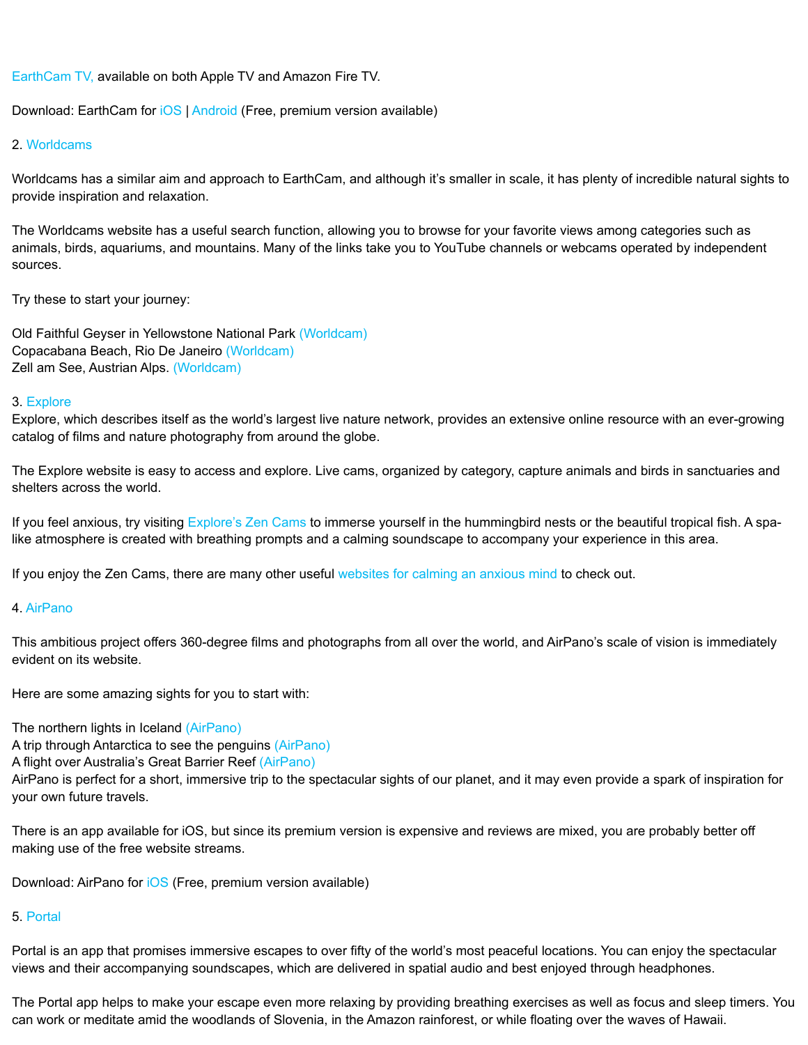[EarthCam TV,](https://www.earthcamtv.com/apps/) available on both Apple TV and Amazon Fire TV.

Download: EarthCam for [iOS](https://apps.apple.com/us/app/webcams-earthcam/id853926670) | [Android](https://play.google.com/store/apps/details?id=com.earthcam.webcams) (Free, premium version available)

## 2. [Worldcams](https://worldcams.tv/)

Worldcams has a similar aim and approach to EarthCam, and although it's smaller in scale, it has plenty of incredible natural sights to provide inspiration and relaxation.

The Worldcams website has a useful search function, allowing you to browse for your favorite views among categories such as animals, birds, aquariums, and mountains. Many of the links take you to YouTube channels or webcams operated by independent sources.

Try these to start your journey:

Old Faithful Geyser in Yellowstone National Park [\(Worldcam\)](https://worldcams.tv/united-states/yellowstone/old-faithful-geyser) Copacabana Beach, Rio De Janeiro [\(Worldcam\)](https://worldcams.tv/brazil/rio-de-janeiro/copacabana) Zell am See, Austrian Alps. [\(Worldcam\)](https://worldcams.tv/switzerland/zell-am-see/mountains)

#### 3[. Explore](https://www.explore.org/livecams)

Explore, which describes itself as the world's largest live nature network, provides an extensive online resource with an ever-growing catalog of films and nature photography from around the globe.

The Explore website is easy to access and explore. Live cams, organized by category, capture animals and birds in sanctuaries and shelters across the world.

If you feel anxious, try visiting [Explore's Zen Cams](https://www.explore.org/livecams/meditation/) to immerse yourself in the hummingbird nests or the beautiful tropical fish. A spalike atmosphere is created with breathing prompts and a calming soundscape to accompany your experience in this area.

If you enjoy the Zen Cams, there are many other useful [websites for calming an anxious mind](https://www.makeuseof.com/best-sites-calming-anxious-mind/) to check out.

#### 4. [AirPano](https://www.airpano.com/)

This ambitious project offers 360-degree films and photographs from all over the world, and AirPano's scale of vision is immediately evident on its website.

Here are some amazing sights for you to start with:

The northern lights in Iceland [\(AirPano\)](https://redirect.viglink.com/?format=go&jsonp=vglnk_165357489584333&key=eac202ea7a96cf485281d6c4ffa2069e&libId=l3n3hiiv0103es17000DLjtpce7fr&loc=https%3A%2F%2Fwww.makeuseof.com%2Ffascinating-ways-virtually-experience-nature-world%2F&ccpaConsent=1---&v=1&opt=true&optExText=false&out=http%3A%2F%2Fwww.airpano.com%2F360video%2Fvr-iceland-lights%2F&ref=https%3A%2F%2Fmail.ad.ec-lan.net%2F&title=6%20Fascinating%20Ways%20to%20Virtually%20Experience%20Nature%20Around%20the%20World&txt=AirPano)

A trip through Antarctica to see the penguins [\(AirPano\)](https://redirect.viglink.com/?format=go&jsonp=vglnk_165357490586834&key=eac202ea7a96cf485281d6c4ffa2069e&libId=l3n3hiiv0103es17000DLjtpce7fr&loc=https%3A%2F%2Fwww.makeuseof.com%2Ffascinating-ways-virtually-experience-nature-world%2F&ccpaConsent=1---&v=1&opt=true&optExText=false&out=http%3A%2F%2Fwww.airpano.com%2F360video%2Fvideo-antarctica-1%2F&ref=https%3A%2F%2Fmail.ad.ec-lan.net%2F&title=6%20Fascinating%20Ways%20to%20Virtually%20Experience%20Nature%20Around%20the%20World&txt=AirPano)

A flight over Australia's Great Barrier Reef [\(AirPano\)](https://redirect.viglink.com/?format=go&jsonp=vglnk_165357491733135&key=eac202ea7a96cf485281d6c4ffa2069e&libId=l3n3hiiv0103es17000DLjtpce7fr&loc=https%3A%2F%2Fwww.makeuseof.com%2Ffascinating-ways-virtually-experience-nature-world%2F&ccpaConsent=1---&v=1&opt=true&optExText=false&out=http%3A%2F%2Fwww.airpano.com%2F360video%2Fvideo-great-barrier-reef%2F&ref=https%3A%2F%2Fmail.ad.ec-lan.net%2F&title=6%20Fascinating%20Ways%20to%20Virtually%20Experience%20Nature%20Around%20the%20World&txt=AirPano)

AirPano is perfect for a short, immersive trip to the spectacular sights of our planet, and it may even provide a spark of inspiration for your own future travels.

There is an app available for iOS, but since its premium version is expensive and reviews are mixed, you are probably better off making use of the free website streams.

Download: AirPano for [iOS](https://redirect.viglink.com/?format=go&jsonp=vglnk_165357492981937&key=eac202ea7a96cf485281d6c4ffa2069e&libId=l3n3hiiv0103es17000DLjtpce7fr&loc=https%3A%2F%2Fwww.makeuseof.com%2Ffascinating-ways-virtually-experience-nature-world%2F&ccpaConsent=1---&v=1&opt=true&optExText=false&out=https%3A%2F%2Fapps.apple.com%2Fus%2Fapp%2Fairpano-travel-book%2Fid887138564&ref=https%3A%2F%2Fmail.ad.ec-lan.net%2F&title=6%20Fascinating%20Ways%20to%20Virtually%20Experience%20Nature%20Around%20the%20World&txt=iOS) (Free, premium version available)

## 5. [Portal](https://portal.app/)

Portal is an app that promises immersive escapes to over fifty of the world's most peaceful locations. You can enjoy the spectacular views and their accompanying soundscapes, which are delivered in spatial audio and best enjoyed through headphones.

The Portal app helps to make your escape even more relaxing by providing breathing exercises as well as focus and sleep timers. You can work or meditate amid the woodlands of Slovenia, in the Amazon rainforest, or while floating over the waves of Hawaii.